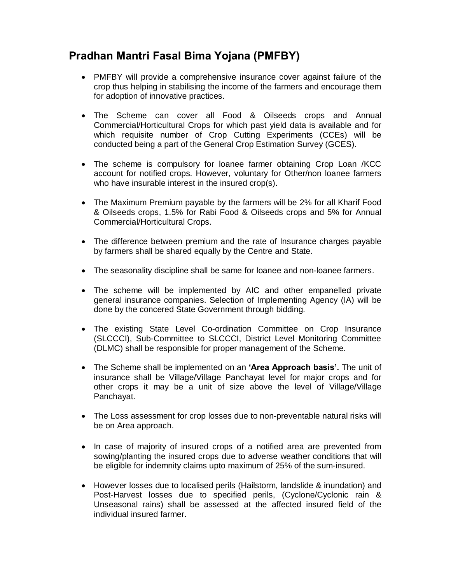## **Pradhan Mantri Fasal Bima Yojana (PMFBY)**

- · PMFBY will provide a comprehensive insurance cover against failure of the crop thus helping in stabilising the income of the farmers and encourage them for adoption of innovative practices.
- · The Scheme can cover all Food & Oilseeds crops and Annual Commercial/Horticultural Crops for which past yield data is available and for which requisite number of Crop Cutting Experiments (CCEs) will be conducted being a part of the General Crop Estimation Survey (GCES).
- The scheme is compulsory for loanee farmer obtaining Crop Loan /KCC account for notified crops. However, voluntary for Other/non loanee farmers who have insurable interest in the insured crop(s).
- · The Maximum Premium payable by the farmers will be 2% for all Kharif Food & Oilseeds crops, 1.5% for Rabi Food & Oilseeds crops and 5% for Annual Commercial/Horticultural Crops.
- · The difference between premium and the rate of Insurance charges payable by farmers shall be shared equally by the Centre and State.
- · The seasonality discipline shall be same for loanee and non-loanee farmers.
- · The scheme will be implemented by AIC and other empanelled private general insurance companies. Selection of Implementing Agency (IA) will be done by the concered State Government through bidding.
- · The existing State Level Co-ordination Committee on Crop Insurance (SLCCCI), Sub-Committee to SLCCCI, District Level Monitoring Committee (DLMC) shall be responsible for proper management of the Scheme.
- · The Scheme shall be implemented on an **'Area Approach basis'.** The unit of insurance shall be Village/Village Panchayat level for major crops and for other crops it may be a unit of size above the level of Village/Village Panchayat.
- The Loss assessment for crop losses due to non-preventable natural risks will be on Area approach.
- · In case of majority of insured crops of a notified area are prevented from sowing/planting the insured crops due to adverse weather conditions that will be eligible for indemnity claims upto maximum of 25% of the sum-insured.
- · However losses due to localised perils (Hailstorm, landslide & inundation) and Post-Harvest losses due to specified perils, (Cyclone/Cyclonic rain & Unseasonal rains) shall be assessed at the affected insured field of the individual insured farmer.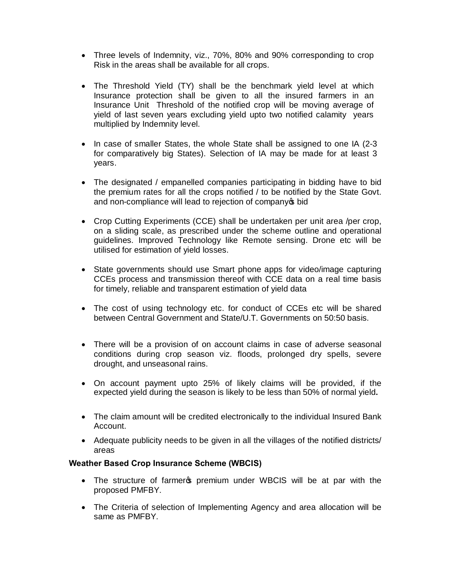- · Three levels of Indemnity, viz., 70%, 80% and 90% corresponding to crop Risk in the areas shall be available for all crops.
- The Threshold Yield (TY) shall be the benchmark yield level at which Insurance protection shall be given to all the insured farmers in an Insurance Unit Threshold of the notified crop will be moving average of yield of last seven years excluding yield upto two notified calamity years multiplied by Indemnity level.
- In case of smaller States, the whole State shall be assigned to one IA (2-3) for comparatively big States). Selection of IA may be made for at least 3 years.
- The designated / empanelled companies participating in bidding have to bid the premium rates for all the crops notified / to be notified by the State Govt. and non-compliance will lead to rejection of company of bid
- · Crop Cutting Experiments (CCE) shall be undertaken per unit area /per crop, on a sliding scale, as prescribed under the scheme outline and operational guidelines. Improved Technology like Remote sensing. Drone etc will be utilised for estimation of yield losses.
- · State governments should use Smart phone apps for video/image capturing CCEs process and transmission thereof with CCE data on a real time basis for timely, reliable and transparent estimation of yield data
- The cost of using technology etc. for conduct of CCEs etc will be shared between Central Government and State/U.T. Governments on 50:50 basis.
- · There will be a provision of on account claims in case of adverse seasonal conditions during crop season viz. floods, prolonged dry spells, severe drought, and unseasonal rains.
- · On account payment upto 25% of likely claims will be provided, if the expected yield during the season is likely to be less than 50% of normal yield**.**
- · The claim amount will be credited electronically to the individual Insured Bank Account.
- · Adequate publicity needs to be given in all the villages of the notified districts/ areas

## **Weather Based Crop Insurance Scheme (WBCIS)**

- The structure of farmer premium under WBCIS will be at par with the proposed PMFBY.
- · The Criteria of selection of Implementing Agency and area allocation will be same as PMFBY.